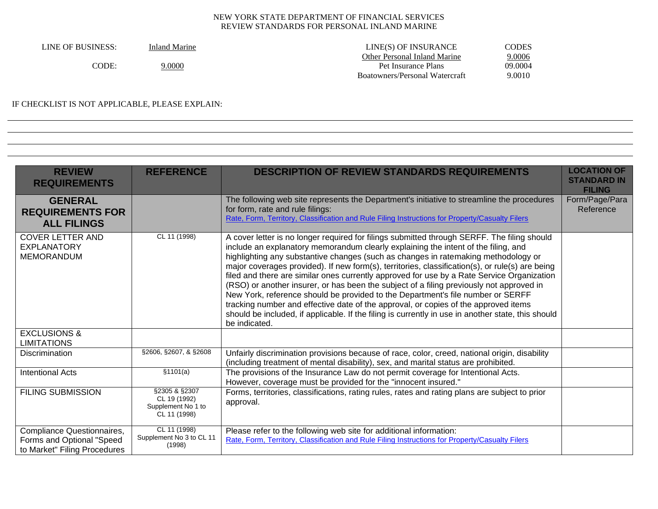| LINE OF BUSINESS: | Inland Marine | LINE(S) OF INSURANCE           | <b>CODES</b> |
|-------------------|---------------|--------------------------------|--------------|
|                   |               | Other Personal Inland Marine   | 9.0006       |
| CODE              | 9.0000        | Pet Insurance Plans            | 09.0004      |
|                   |               | Boatowners/Personal Watercraft | 9.0010       |

# IF CHECKLIST IS NOT APPLICABLE, PLEASE EXPLAIN:

| <b>REVIEW</b><br><b>REQUIREMENTS</b>                                                    | <b>REFERENCE</b>                                                    | <b>DESCRIPTION OF REVIEW STANDARDS REQUIREMENTS</b>                                                                                                                                                                                                                                                                                                                                                                                                                                                                                                                                                                                                                                                                                                                                                                                                                   | <b>LOCATION OF</b><br><b>STANDARD IN</b><br><b>FILING</b> |
|-----------------------------------------------------------------------------------------|---------------------------------------------------------------------|-----------------------------------------------------------------------------------------------------------------------------------------------------------------------------------------------------------------------------------------------------------------------------------------------------------------------------------------------------------------------------------------------------------------------------------------------------------------------------------------------------------------------------------------------------------------------------------------------------------------------------------------------------------------------------------------------------------------------------------------------------------------------------------------------------------------------------------------------------------------------|-----------------------------------------------------------|
| <b>GENERAL</b><br><b>REQUIREMENTS FOR</b><br><b>ALL FILINGS</b>                         |                                                                     | The following web site represents the Department's initiative to streamline the procedures<br>for form, rate and rule filings:<br>Rate, Form, Territory, Classification and Rule Filing Instructions for Property/Casualty Filers                                                                                                                                                                                                                                                                                                                                                                                                                                                                                                                                                                                                                                     | Form/Page/Para<br>Reference                               |
| <b>COVER LETTER AND</b><br><b>EXPLANATORY</b><br><b>MEMORANDUM</b>                      | CL 11 (1998)                                                        | A cover letter is no longer required for filings submitted through SERFF. The filing should<br>include an explanatory memorandum clearly explaining the intent of the filing, and<br>highlighting any substantive changes (such as changes in ratemaking methodology or<br>major coverages provided). If new form(s), territories, classification(s), or rule(s) are being<br>filed and there are similar ones currently approved for use by a Rate Service Organization<br>(RSO) or another insurer, or has been the subject of a filing previously not approved in<br>New York, reference should be provided to the Department's file number or SERFF<br>tracking number and effective date of the approval, or copies of the approved items<br>should be included, if applicable. If the filing is currently in use in another state, this should<br>be indicated. |                                                           |
| <b>EXCLUSIONS &amp;</b><br><b>LIMITATIONS</b>                                           |                                                                     |                                                                                                                                                                                                                                                                                                                                                                                                                                                                                                                                                                                                                                                                                                                                                                                                                                                                       |                                                           |
| <b>Discrimination</b>                                                                   | §2606, §2607, & §2608                                               | Unfairly discrimination provisions because of race, color, creed, national origin, disability<br>(including treatment of mental disability), sex, and marital status are prohibited.                                                                                                                                                                                                                                                                                                                                                                                                                                                                                                                                                                                                                                                                                  |                                                           |
| <b>Intentional Acts</b>                                                                 | \$1101(a)                                                           | The provisions of the Insurance Law do not permit coverage for Intentional Acts.<br>However, coverage must be provided for the "innocent insured."                                                                                                                                                                                                                                                                                                                                                                                                                                                                                                                                                                                                                                                                                                                    |                                                           |
| <b>FILING SUBMISSION</b>                                                                | §2305 & §2307<br>CL 19 (1992)<br>Supplement No 1 to<br>CL 11 (1998) | Forms, territories, classifications, rating rules, rates and rating plans are subject to prior<br>approval.                                                                                                                                                                                                                                                                                                                                                                                                                                                                                                                                                                                                                                                                                                                                                           |                                                           |
| Compliance Questionnaires,<br>Forms and Optional "Speed<br>to Market" Filing Procedures | CL 11 (1998)<br>Supplement No 3 to CL 11<br>(1998)                  | Please refer to the following web site for additional information:<br>Rate, Form, Territory, Classification and Rule Filing Instructions for Property/Casualty Filers                                                                                                                                                                                                                                                                                                                                                                                                                                                                                                                                                                                                                                                                                                 |                                                           |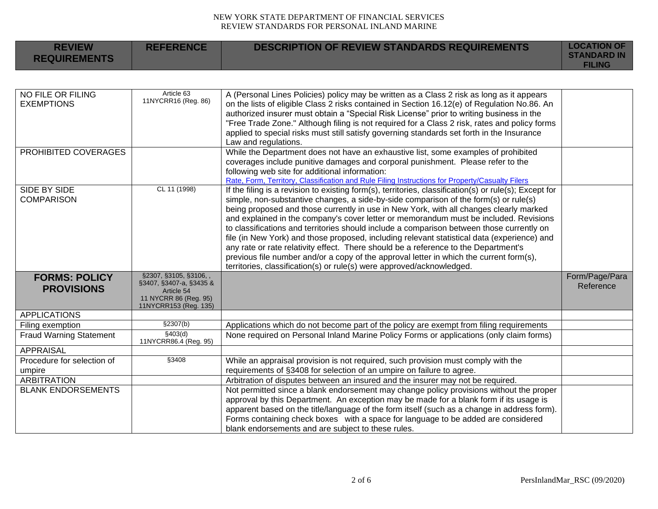| <b>REVIEW</b><br><b>REQUIREMENTS</b>      | <b>REFERENCE</b>                                                                                                  | <b>DESCRIPTION OF REVIEW STANDARDS REQUIREMENTS</b>                                                                                                                                                                                                                                                                                                                                                                                                                                                                                                                                                                                                                                                                                                                                                                                      | <b>LOCATION OF</b><br><b>STANDARD IN</b><br><b>FILING</b> |
|-------------------------------------------|-------------------------------------------------------------------------------------------------------------------|------------------------------------------------------------------------------------------------------------------------------------------------------------------------------------------------------------------------------------------------------------------------------------------------------------------------------------------------------------------------------------------------------------------------------------------------------------------------------------------------------------------------------------------------------------------------------------------------------------------------------------------------------------------------------------------------------------------------------------------------------------------------------------------------------------------------------------------|-----------------------------------------------------------|
|                                           |                                                                                                                   |                                                                                                                                                                                                                                                                                                                                                                                                                                                                                                                                                                                                                                                                                                                                                                                                                                          |                                                           |
| NO FILE OR FILING<br><b>EXEMPTIONS</b>    | Article 63<br>11NYCRR16 (Reg. 86)                                                                                 | A (Personal Lines Policies) policy may be written as a Class 2 risk as long as it appears<br>on the lists of eligible Class 2 risks contained in Section 16.12(e) of Regulation No.86. An<br>authorized insurer must obtain a "Special Risk License" prior to writing business in the<br>"Free Trade Zone." Although filing is not required for a Class 2 risk, rates and policy forms<br>applied to special risks must still satisfy governing standards set forth in the Insurance<br>Law and regulations.                                                                                                                                                                                                                                                                                                                             |                                                           |
| PROHIBITED COVERAGES                      |                                                                                                                   | While the Department does not have an exhaustive list, some examples of prohibited<br>coverages include punitive damages and corporal punishment. Please refer to the<br>following web site for additional information:<br>Rate, Form, Territory, Classification and Rule Filing Instructions for Property/Casualty Filers                                                                                                                                                                                                                                                                                                                                                                                                                                                                                                               |                                                           |
| SIDE BY SIDE<br><b>COMPARISON</b>         | CL 11 (1998)                                                                                                      | If the filing is a revision to existing form(s), territories, classification(s) or rule(s); Except for<br>simple, non-substantive changes, a side-by-side comparison of the form(s) or rule(s)<br>being proposed and those currently in use in New York, with all changes clearly marked<br>and explained in the company's cover letter or memorandum must be included. Revisions<br>to classifications and territories should include a comparison between those currently on<br>file (in New York) and those proposed, including relevant statistical data (experience) and<br>any rate or rate relativity effect. There should be a reference to the Department's<br>previous file number and/or a copy of the approval letter in which the current form(s),<br>territories, classification(s) or rule(s) were approved/acknowledged. |                                                           |
| <b>FORMS: POLICY</b><br><b>PROVISIONS</b> | §2307, §3105, §3106, ,<br>§3407, §3407-a, §3435 &<br>Article 54<br>11 NYCRR 86 (Reg. 95)<br>11NYCRR153 (Reg. 135) |                                                                                                                                                                                                                                                                                                                                                                                                                                                                                                                                                                                                                                                                                                                                                                                                                                          | Form/Page/Para<br>Reference                               |
| <b>APPLICATIONS</b>                       |                                                                                                                   |                                                                                                                                                                                                                                                                                                                                                                                                                                                                                                                                                                                                                                                                                                                                                                                                                                          |                                                           |
| Filing exemption                          | §2307(b)                                                                                                          | Applications which do not become part of the policy are exempt from filing requirements                                                                                                                                                                                                                                                                                                                                                                                                                                                                                                                                                                                                                                                                                                                                                  |                                                           |
| <b>Fraud Warning Statement</b>            | \$403(d)<br>11NYCRR86.4 (Reg. 95)                                                                                 | None required on Personal Inland Marine Policy Forms or applications (only claim forms)                                                                                                                                                                                                                                                                                                                                                                                                                                                                                                                                                                                                                                                                                                                                                  |                                                           |
| <b>APPRAISAL</b>                          |                                                                                                                   |                                                                                                                                                                                                                                                                                                                                                                                                                                                                                                                                                                                                                                                                                                                                                                                                                                          |                                                           |
| Procedure for selection of<br>umpire      | §3408                                                                                                             | While an appraisal provision is not required, such provision must comply with the<br>requirements of §3408 for selection of an umpire on failure to agree.                                                                                                                                                                                                                                                                                                                                                                                                                                                                                                                                                                                                                                                                               |                                                           |
| <b>ARBITRATION</b>                        |                                                                                                                   | Arbitration of disputes between an insured and the insurer may not be required.                                                                                                                                                                                                                                                                                                                                                                                                                                                                                                                                                                                                                                                                                                                                                          |                                                           |
| <b>BLANK ENDORSEMENTS</b>                 |                                                                                                                   | Not permitted since a blank endorsement may change policy provisions without the proper<br>approval by this Department. An exception may be made for a blank form if its usage is<br>apparent based on the title/language of the form itself (such as a change in address form).<br>Forms containing check boxes with a space for language to be added are considered<br>blank endorsements and are subject to these rules.                                                                                                                                                                                                                                                                                                                                                                                                              |                                                           |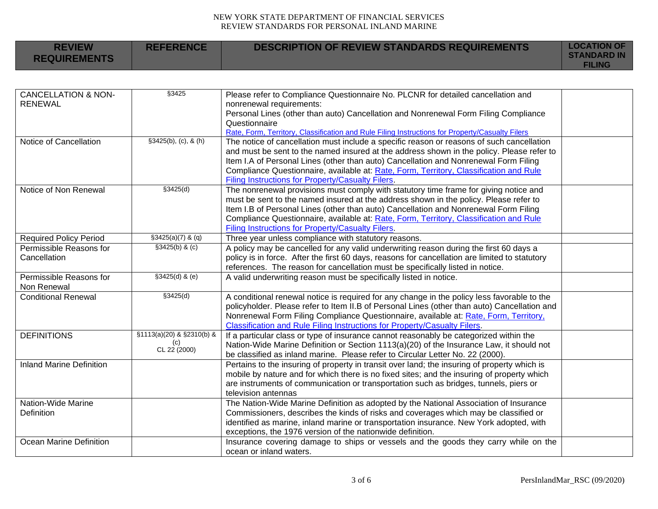| <b>REVIEW</b><br><b>REQUIREMENTS</b>             | <b>REFERENCE</b>                                 | <b>DESCRIPTION OF REVIEW STANDARDS REQUIREMENTS</b>                                                                                                                                                                                                                                                                                                                                                                           | <b>LOCATION OF</b><br><b>STANDARD IN</b><br><b>FILING</b> |
|--------------------------------------------------|--------------------------------------------------|-------------------------------------------------------------------------------------------------------------------------------------------------------------------------------------------------------------------------------------------------------------------------------------------------------------------------------------------------------------------------------------------------------------------------------|-----------------------------------------------------------|
|                                                  |                                                  |                                                                                                                                                                                                                                                                                                                                                                                                                               |                                                           |
| <b>CANCELLATION &amp; NON-</b><br><b>RENEWAL</b> | §3425                                            | Please refer to Compliance Questionnaire No. PLCNR for detailed cancellation and<br>nonrenewal requirements:<br>Personal Lines (other than auto) Cancellation and Nonrenewal Form Filing Compliance<br>Questionnaire<br>Rate, Form, Territory, Classification and Rule Filing Instructions for Property/Casualty Filers                                                                                                       |                                                           |
| Notice of Cancellation                           | \$3425(b), (c), 8(h)                             | The notice of cancellation must include a specific reason or reasons of such cancellation<br>and must be sent to the named insured at the address shown in the policy. Please refer to<br>Item I.A of Personal Lines (other than auto) Cancellation and Nonrenewal Form Filing<br>Compliance Questionnaire, available at: Rate, Form, Territory, Classification and Rule<br>Filing Instructions for Property/Casualty Filers. |                                                           |
| Notice of Non Renewal                            | \$3425(d)                                        | The nonrenewal provisions must comply with statutory time frame for giving notice and<br>must be sent to the named insured at the address shown in the policy. Please refer to<br>Item I.B of Personal Lines (other than auto) Cancellation and Nonrenewal Form Filing<br>Compliance Questionnaire, available at: Rate, Form, Territory, Classification and Rule<br>Filing Instructions for Property/Casualty Filers.         |                                                           |
| <b>Required Policy Period</b>                    | $\sqrt{\frac{23425(a)}{7} 8 (q)}$                | Three year unless compliance with statutory reasons.                                                                                                                                                                                                                                                                                                                                                                          |                                                           |
| Permissible Reasons for<br>Cancellation          | \$3425(b) & (c)                                  | A policy may be cancelled for any valid underwriting reason during the first 60 days a<br>policy is in force. After the first 60 days, reasons for cancellation are limited to statutory<br>references. The reason for cancellation must be specifically listed in notice.                                                                                                                                                    |                                                           |
| Permissible Reasons for<br>Non Renewal           | $$3425(d)$ & (e)                                 | A valid underwriting reason must be specifically listed in notice.                                                                                                                                                                                                                                                                                                                                                            |                                                           |
| <b>Conditional Renewal</b>                       | \$3425(d)                                        | A conditional renewal notice is required for any change in the policy less favorable to the<br>policyholder. Please refer to Item II.B of Personal Lines (other than auto) Cancellation and<br>Nonrenewal Form Filing Compliance Questionnaire, available at: Rate, Form, Territory,<br>Classification and Rule Filing Instructions for Property/Casualty Filers.                                                             |                                                           |
| <b>DEFINITIONS</b>                               | §1113(a)(20) & §2310(b) &<br>(c)<br>CL 22 (2000) | If a particular class or type of insurance cannot reasonably be categorized within the<br>Nation-Wide Marine Definition or Section 1113(a)(20) of the Insurance Law, it should not<br>be classified as inland marine. Please refer to Circular Letter No. 22 (2000).                                                                                                                                                          |                                                           |
| <b>Inland Marine Definition</b>                  |                                                  | Pertains to the insuring of property in transit over land; the insuring of property which is<br>mobile by nature and for which there is no fixed sites; and the insuring of property which<br>are instruments of communication or transportation such as bridges, tunnels, piers or<br>television antennas                                                                                                                    |                                                           |
| Nation-Wide Marine<br>Definition                 |                                                  | The Nation-Wide Marine Definition as adopted by the National Association of Insurance<br>Commissioners, describes the kinds of risks and coverages which may be classified or<br>identified as marine, inland marine or transportation insurance. New York adopted, with<br>exceptions, the 1976 version of the nationwide definition.                                                                                        |                                                           |
| Ocean Marine Definition                          |                                                  | Insurance covering damage to ships or vessels and the goods they carry while on the<br>ocean or inland waters.                                                                                                                                                                                                                                                                                                                |                                                           |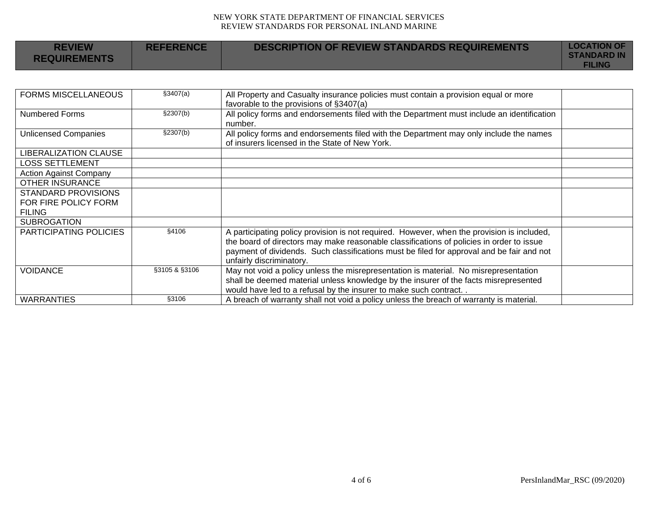| <b>REVIEW</b><br><b>REQUIREMENTS</b> | <b>REFERENCE</b> | <b>DESCRIPTION OF REVIEW STANDARDS REQUIREMENTS</b> | <b>LOCATION OF</b><br><b>STANDARD IN</b><br><b>FILING</b> |
|--------------------------------------|------------------|-----------------------------------------------------|-----------------------------------------------------------|
|--------------------------------------|------------------|-----------------------------------------------------|-----------------------------------------------------------|

| <b>FORMS MISCELLANEOUS</b>    | \$3407(a)     | All Property and Casualty insurance policies must contain a provision equal or more<br>favorable to the provisions of §3407(a)           |  |
|-------------------------------|---------------|------------------------------------------------------------------------------------------------------------------------------------------|--|
| <b>Numbered Forms</b>         | §2307(b)      | All policy forms and endorsements filed with the Department must include an identification<br>number.                                    |  |
| <b>Unlicensed Companies</b>   | \$2307(b)     | All policy forms and endorsements filed with the Department may only include the names<br>of insurers licensed in the State of New York. |  |
| <b>LIBERALIZATION CLAUSE</b>  |               |                                                                                                                                          |  |
| <b>LOSS SETTLEMENT</b>        |               |                                                                                                                                          |  |
| <b>Action Against Company</b> |               |                                                                                                                                          |  |
| <b>OTHER INSURANCE</b>        |               |                                                                                                                                          |  |
| <b>STANDARD PROVISIONS</b>    |               |                                                                                                                                          |  |
| FOR FIRE POLICY FORM          |               |                                                                                                                                          |  |
| <b>FILING</b>                 |               |                                                                                                                                          |  |
| <b>SUBROGATION</b>            |               |                                                                                                                                          |  |
| PARTICIPATING POLICIES        | §4106         | A participating policy provision is not required. However, when the provision is included,                                               |  |
|                               |               | the board of directors may make reasonable classifications of policies in order to issue                                                 |  |
|                               |               | payment of dividends. Such classifications must be filed for approval and be fair and not                                                |  |
|                               |               | unfairly discriminatory.                                                                                                                 |  |
| <b>VOIDANCE</b>               | §3105 & §3106 | May not void a policy unless the misrepresentation is material. No misrepresentation                                                     |  |
|                               |               | shall be deemed material unless knowledge by the insurer of the facts misrepresented                                                     |  |
|                               |               | would have led to a refusal by the insurer to make such contract                                                                         |  |
| <b>WARRANTIES</b>             | §3106         | A breach of warranty shall not void a policy unless the breach of warranty is material.                                                  |  |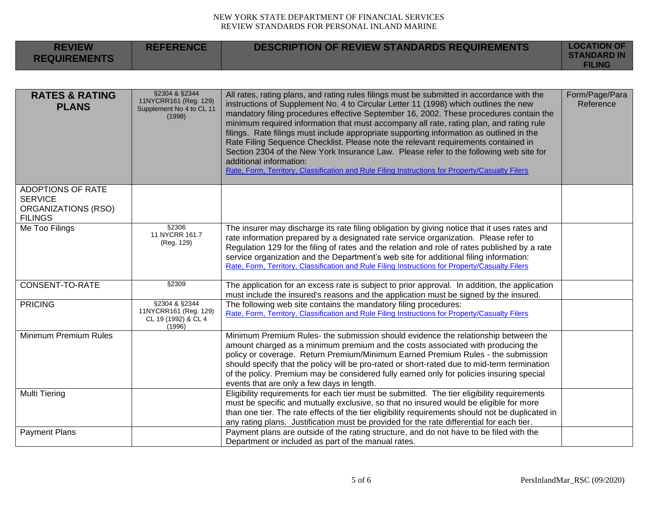| <b>REVIEW</b><br><b>REQUIREMENTS</b>                                                | <b>REFERENCE</b>                                                             | <b>DESCRIPTION OF REVIEW STANDARDS REQUIREMENTS</b>                                                                                                                                                                                                                                                                                                                                                                                                                                                                                                                                                                                                                                                                                                                               | <b>LOCATION OF</b><br><b>STANDARD IN</b><br><b>FILING</b> |
|-------------------------------------------------------------------------------------|------------------------------------------------------------------------------|-----------------------------------------------------------------------------------------------------------------------------------------------------------------------------------------------------------------------------------------------------------------------------------------------------------------------------------------------------------------------------------------------------------------------------------------------------------------------------------------------------------------------------------------------------------------------------------------------------------------------------------------------------------------------------------------------------------------------------------------------------------------------------------|-----------------------------------------------------------|
|                                                                                     |                                                                              |                                                                                                                                                                                                                                                                                                                                                                                                                                                                                                                                                                                                                                                                                                                                                                                   |                                                           |
| <b>RATES &amp; RATING</b><br><b>PLANS</b>                                           | §2304 & §2344<br>11NYCRR161 (Reg. 129)<br>Supplement No 4 to CL 11<br>(1998) | All rates, rating plans, and rating rules filings must be submitted in accordance with the<br>instructions of Supplement No. 4 to Circular Letter 11 (1998) which outlines the new<br>mandatory filing procedures effective September 16, 2002. These procedures contain the<br>minimum required information that must accompany all rate, rating plan, and rating rule<br>filings. Rate filings must include appropriate supporting information as outlined in the<br>Rate Filing Sequence Checklist. Please note the relevant requirements contained in<br>Section 2304 of the New York Insurance Law. Please refer to the following web site for<br>additional information:<br>Rate, Form, Territory, Classification and Rule Filing Instructions for Property/Casualty Filers | Form/Page/Para<br>Reference                               |
| <b>ADOPTIONS OF RATE</b><br><b>SERVICE</b><br>ORGANIZATIONS (RSO)<br><b>FILINGS</b> |                                                                              |                                                                                                                                                                                                                                                                                                                                                                                                                                                                                                                                                                                                                                                                                                                                                                                   |                                                           |
| Me Too Filings                                                                      | §2306<br>11 NYCRR 161.7<br>(Reg. 129)                                        | The insurer may discharge its rate filing obligation by giving notice that it uses rates and<br>rate information prepared by a designated rate service organization. Please refer to<br>Regulation 129 for the filing of rates and the relation and role of rates published by a rate<br>service organization and the Department's web site for additional filing information:<br>Rate, Form, Territory, Classification and Rule Filing Instructions for Property/Casualty Filers                                                                                                                                                                                                                                                                                                 |                                                           |
| CONSENT-TO-RATE                                                                     | §2309                                                                        | The application for an excess rate is subject to prior approval. In addition, the application<br>must include the insured's reasons and the application must be signed by the insured.                                                                                                                                                                                                                                                                                                                                                                                                                                                                                                                                                                                            |                                                           |
| <b>PRICING</b>                                                                      | §2304 & §2344<br>11NYCRR161 (Reg. 129)<br>CL 19 (1992) & CL 4<br>(1996)      | The following web site contains the mandatory filing procedures:<br>Rate, Form, Territory, Classification and Rule Filing Instructions for Property/Casualty Filers                                                                                                                                                                                                                                                                                                                                                                                                                                                                                                                                                                                                               |                                                           |
| Minimum Premium Rules                                                               |                                                                              | Minimum Premium Rules- the submission should evidence the relationship between the<br>amount charged as a minimum premium and the costs associated with producing the<br>policy or coverage. Return Premium/Minimum Earned Premium Rules - the submission<br>should specify that the policy will be pro-rated or short-rated due to mid-term termination<br>of the policy. Premium may be considered fully earned only for policies insuring special<br>events that are only a few days in length.                                                                                                                                                                                                                                                                                |                                                           |
| <b>Multi Tiering</b>                                                                |                                                                              | Eligibility requirements for each tier must be submitted. The tier eligibility requirements<br>must be specific and mutually exclusive, so that no insured would be eligible for more<br>than one tier. The rate effects of the tier eligibility requirements should not be duplicated in<br>any rating plans. Justification must be provided for the rate differential for each tier.                                                                                                                                                                                                                                                                                                                                                                                            |                                                           |
| <b>Payment Plans</b>                                                                |                                                                              | Payment plans are outside of the rating structure, and do not have to be filed with the<br>Department or included as part of the manual rates.                                                                                                                                                                                                                                                                                                                                                                                                                                                                                                                                                                                                                                    |                                                           |